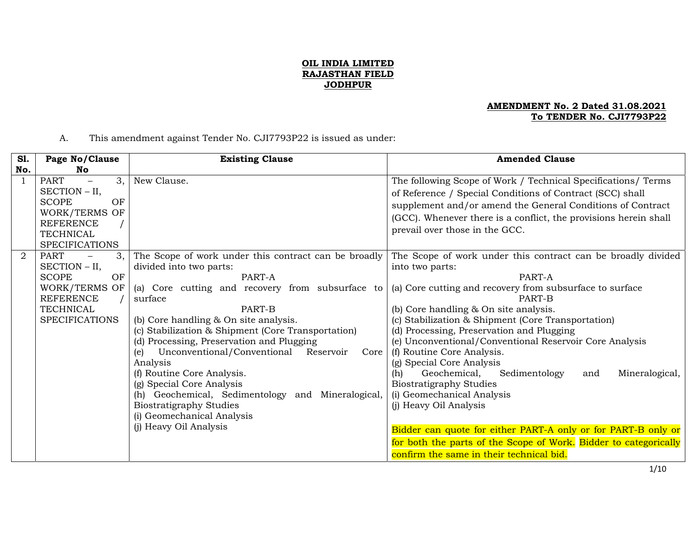## **OIL INDIA LIMITED RAJASTHAN FIELD JODHPUR**

### **AMENDMENT No. 2 Dated 31.08.2021 To TENDER No. CJI7793P22**

# A. This amendment against Tender No. CJI7793P22 is issued as under:

| <b>S1.</b>     | Page No/Clause                                                                                                                                    | <b>Existing Clause</b>                                                                                                                                                                                                                                                                                                                                                                                                                                                                                                                                                                            | <b>Amended Clause</b>                                                                                                                                                                                                                                                                                                                                                                                                                                                                                                                                                                                                                                                                                                                                                         |
|----------------|---------------------------------------------------------------------------------------------------------------------------------------------------|---------------------------------------------------------------------------------------------------------------------------------------------------------------------------------------------------------------------------------------------------------------------------------------------------------------------------------------------------------------------------------------------------------------------------------------------------------------------------------------------------------------------------------------------------------------------------------------------------|-------------------------------------------------------------------------------------------------------------------------------------------------------------------------------------------------------------------------------------------------------------------------------------------------------------------------------------------------------------------------------------------------------------------------------------------------------------------------------------------------------------------------------------------------------------------------------------------------------------------------------------------------------------------------------------------------------------------------------------------------------------------------------|
| No.            | No                                                                                                                                                |                                                                                                                                                                                                                                                                                                                                                                                                                                                                                                                                                                                                   |                                                                                                                                                                                                                                                                                                                                                                                                                                                                                                                                                                                                                                                                                                                                                                               |
|                | 3,<br><b>PART</b><br>$-$<br>SECTION – II,<br>OF<br><b>SCOPE</b><br>WORK/TERMS OF<br><b>REFERENCE</b><br><b>TECHNICAL</b><br><b>SPECIFICATIONS</b> | New Clause.                                                                                                                                                                                                                                                                                                                                                                                                                                                                                                                                                                                       | The following Scope of Work / Technical Specifications/ Terms<br>of Reference / Special Conditions of Contract (SCC) shall<br>supplement and/or amend the General Conditions of Contract<br>(GCC). Whenever there is a conflict, the provisions herein shall<br>prevail over those in the GCC.                                                                                                                                                                                                                                                                                                                                                                                                                                                                                |
| $\overline{2}$ | <b>PART</b><br>3.<br>SECTION - II,<br>OF<br><b>SCOPE</b><br>WORK/TERMS OF<br><b>REFERENCE</b><br>TECHNICAL<br><b>SPECIFICATIONS</b>               | The Scope of work under this contract can be broadly<br>divided into two parts:<br>PART-A<br>(a) Core cutting and recovery from subsurface to<br>surface<br>PART-B<br>(b) Core handling & On site analysis.<br>(c) Stabilization & Shipment (Core Transportation)<br>(d) Processing, Preservation and Plugging<br>Unconventional/Conventional<br>Reservoir<br>(e)<br>Core  <br>Analysis<br>(f) Routine Core Analysis.<br>(g) Special Core Analysis<br>(h) Geochemical, Sedimentology and Mineralogical,<br><b>Biostratigraphy Studies</b><br>(i) Geomechanical Analysis<br>(j) Heavy Oil Analysis | The Scope of work under this contract can be broadly divided<br>into two parts:<br>PART-A<br>(a) Core cutting and recovery from subsurface to surface<br>PART-B<br>(b) Core handling & On site analysis.<br>(c) Stabilization & Shipment (Core Transportation)<br>(d) Processing, Preservation and Plugging<br>(e) Unconventional/Conventional Reservoir Core Analysis<br>(f) Routine Core Analysis.<br>(g) Special Core Analysis<br>Geochemical,<br>Sedimentology<br>Mineralogical,<br>(h)<br>and<br><b>Biostratigraphy Studies</b><br>(i) Geomechanical Analysis<br>(j) Heavy Oil Analysis<br>Bidder can quote for either PART-A only or for PART-B only or<br>for both the parts of the Scope of Work. Bidder to categorically<br>confirm the same in their technical bid. |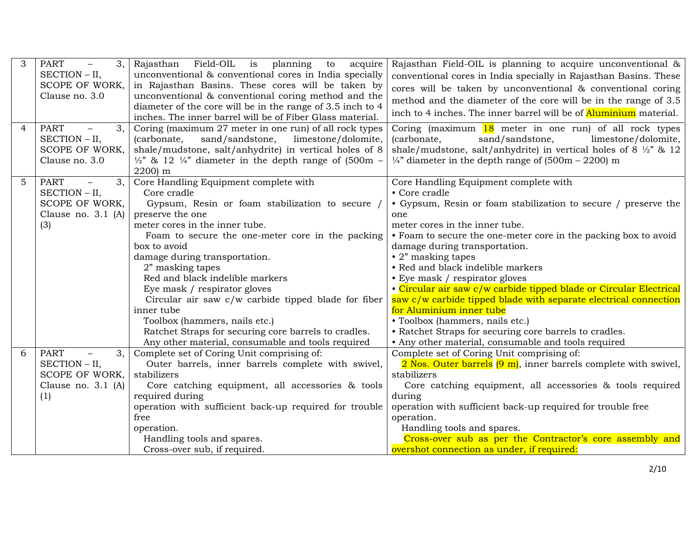| 3<br>$\overline{4}$ | <b>PART</b><br>3,<br>$\overline{\phantom{m}}$<br>SECTION - II,<br>SCOPE OF WORK,<br>Clause no. 3.0<br><b>PART</b><br>3,<br>$\overline{\phantom{m}}$<br>SECTION - II,<br>SCOPE OF WORK,<br>Clause no. 3.0 | Rajasthan Field-OIL is planning<br>to<br>acquire<br>unconventional & conventional cores in India specially<br>in Rajasthan Basins. These cores will be taken by<br>unconventional & conventional coring method and the<br>diameter of the core will be in the range of 3.5 inch to 4<br>inches. The inner barrel will be of Fiber Glass material.<br>Coring (maximum 27 meter in one run) of all rock types<br>(carbonate,<br>sand/sandstone,<br>limestone/dolomite,<br>shale/mudstone, salt/anhydrite) in vertical holes of 8<br>$\frac{1}{2}$ & 12 $\frac{1}{4}$ diameter in the depth range of (500m –<br>2200) m | Rajasthan Field-OIL is planning to acquire unconventional &<br>conventional cores in India specially in Rajasthan Basins. These<br>cores will be taken by unconventional & conventional coring<br>method and the diameter of the core will be in the range of 3.5<br>inch to 4 inches. The inner barrel will be of <b>Aluminium</b> material.<br>Coring (maximum 18 meter in one run) of all rock types<br>sand/sandstone,<br>limestone/dolomite,<br>(carbonate,<br>shale/mudstone, salt/anhydrite) in vertical holes of $8\frac{1}{2}$ & 12<br>$\frac{1}{4}$ " diameter in the depth range of (500m – 2200) m                              |
|---------------------|----------------------------------------------------------------------------------------------------------------------------------------------------------------------------------------------------------|----------------------------------------------------------------------------------------------------------------------------------------------------------------------------------------------------------------------------------------------------------------------------------------------------------------------------------------------------------------------------------------------------------------------------------------------------------------------------------------------------------------------------------------------------------------------------------------------------------------------|---------------------------------------------------------------------------------------------------------------------------------------------------------------------------------------------------------------------------------------------------------------------------------------------------------------------------------------------------------------------------------------------------------------------------------------------------------------------------------------------------------------------------------------------------------------------------------------------------------------------------------------------|
| 5                   | <b>PART</b><br>3,<br>$\overline{\phantom{0}}$<br>SECTION - II,<br>SCOPE OF WORK,<br>Clause no. 3.1 (A)<br>(3)                                                                                            | Core Handling Equipment complete with<br>Core cradle<br>Gypsum, Resin or foam stabilization to secure /<br>preserve the one<br>meter cores in the inner tube.<br>Foam to secure the one-meter core in the packing<br>box to avoid<br>damage during transportation.<br>2" masking tapes<br>Red and black indelible markers<br>Eye mask / respirator gloves<br>Circular air saw c/w carbide tipped blade for fiber<br>inner tube<br>Toolbox (hammers, nails etc.)<br>Ratchet Straps for securing core barrels to cradles.                                                                                              | Core Handling Equipment complete with<br>• Core cradle<br>• Gypsum, Resin or foam stabilization to secure / preserve the<br>one<br>meter cores in the inner tube.<br>• Foam to secure the one-meter core in the packing box to avoid<br>damage during transportation.<br>$\cdot$ 2" masking tapes<br>• Red and black indelible markers<br>• Eye mask / respirator gloves<br>• Circular air saw c/w carbide tipped blade or Circular Electrical<br>saw c/w carbide tipped blade with separate electrical connection<br>for Aluminium inner tube<br>• Toolbox (hammers, nails etc.)<br>• Ratchet Straps for securing core barrels to cradles. |
| 6                   | <b>PART</b><br>3,<br>$\overline{\phantom{0}}$<br>SECTION - II,<br>SCOPE OF WORK,<br>Clause no. $3.1$ (A)<br>(1)                                                                                          | Any other material, consumable and tools required<br>Complete set of Coring Unit comprising of:<br>Outer barrels, inner barrels complete with swivel,<br>stabilizers<br>Core catching equipment, all accessories & tools<br>required during<br>operation with sufficient back-up required for trouble<br>free<br>operation.<br>Handling tools and spares.                                                                                                                                                                                                                                                            | • Any other material, consumable and tools required<br>Complete set of Coring Unit comprising of:<br>2 Nos. Outer barrels (9 m), inner barrels complete with swivel,<br>stabilizers<br>Core catching equipment, all accessories & tools required<br>during<br>operation with sufficient back-up required for trouble free<br>operation.<br>Handling tools and spares.<br>Cross-over sub as per the Contractor's core assembly and                                                                                                                                                                                                           |
|                     |                                                                                                                                                                                                          | Cross-over sub, if required.                                                                                                                                                                                                                                                                                                                                                                                                                                                                                                                                                                                         | overshot connection as under, if required:                                                                                                                                                                                                                                                                                                                                                                                                                                                                                                                                                                                                  |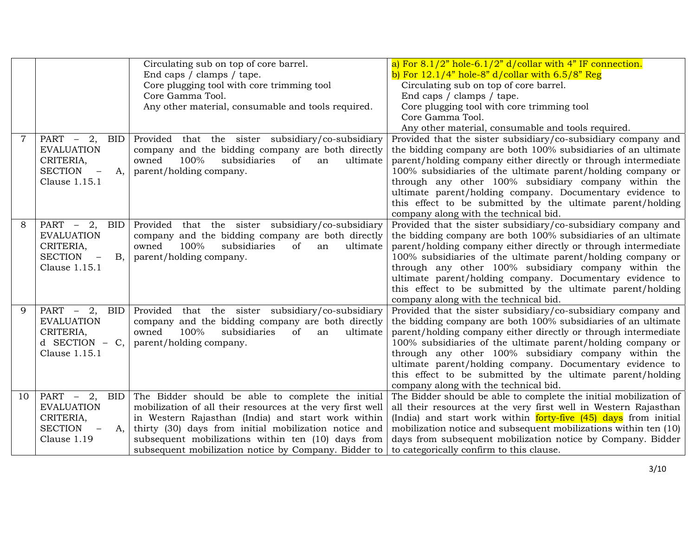|                |                                                                 | Circulating sub on top of core barrel.                                                                      | a) For $8.1/2$ " hole-6.1/2" d/collar with 4" IF connection.                                                                    |
|----------------|-----------------------------------------------------------------|-------------------------------------------------------------------------------------------------------------|---------------------------------------------------------------------------------------------------------------------------------|
|                |                                                                 | End caps / clamps / tape.                                                                                   | b) For $12.1/4$ " hole-8" d/collar with $6.5/8$ " Reg                                                                           |
|                |                                                                 | Core plugging tool with core trimming tool                                                                  | Circulating sub on top of core barrel.                                                                                          |
|                |                                                                 | Core Gamma Tool.                                                                                            | End caps / clamps / tape.                                                                                                       |
|                |                                                                 | Any other material, consumable and tools required.                                                          | Core plugging tool with core trimming tool                                                                                      |
|                |                                                                 |                                                                                                             | Core Gamma Tool.                                                                                                                |
|                |                                                                 |                                                                                                             | Any other material, consumable and tools required.                                                                              |
| $\overline{7}$ | $PART - 2$ ,<br>BID                                             | Provided that the sister subsidiary/co-subsidiary                                                           | Provided that the sister subsidiary/co-subsidiary company and                                                                   |
|                | <b>EVALUATION</b>                                               | company and the bidding company are both directly                                                           | the bidding company are both 100% subsidiaries of an ultimate                                                                   |
|                | CRITERIA,                                                       | 100%<br>subsidiaries<br>owned<br><sub>of</sub><br>ultimate<br>an                                            | parent/holding company either directly or through intermediate                                                                  |
|                | <b>SECTION</b><br>$\overline{\phantom{a}}$<br>A,                | parent/holding company.                                                                                     | 100% subsidiaries of the ultimate parent/holding company or                                                                     |
|                | Clause 1.15.1                                                   |                                                                                                             | through any other 100% subsidiary company within the                                                                            |
|                |                                                                 |                                                                                                             | ultimate parent/holding company. Documentary evidence to                                                                        |
|                |                                                                 |                                                                                                             | this effect to be submitted by the ultimate parent/holding                                                                      |
|                |                                                                 |                                                                                                             | company along with the technical bid.                                                                                           |
| 8              | PART $-2$ ,<br>BID                                              | Provided that the sister subsidiary/co-subsidiary                                                           | Provided that the sister subsidiary/co-subsidiary company and                                                                   |
|                | <b>EVALUATION</b>                                               | company and the bidding company are both directly                                                           | the bidding company are both 100% subsidiaries of an ultimate                                                                   |
|                | CRITERIA,                                                       | 100%<br>owned<br>subsidiaries<br><sub>of</sub><br>ultimate<br>an                                            | parent/holding company either directly or through intermediate                                                                  |
|                | SECTION -<br><b>B</b> ,                                         | parent/holding company.                                                                                     | 100% subsidiaries of the ultimate parent/holding company or                                                                     |
|                | Clause 1.15.1                                                   |                                                                                                             | through any other 100% subsidiary company within the                                                                            |
|                |                                                                 |                                                                                                             | ultimate parent/holding company. Documentary evidence to                                                                        |
|                |                                                                 |                                                                                                             | this effect to be submitted by the ultimate parent/holding                                                                      |
|                |                                                                 |                                                                                                             | company along with the technical bid.                                                                                           |
| 9              | PART $-2$ ,<br>BID                                              | Provided that the sister subsidiary/co-subsidiary                                                           | Provided that the sister subsidiary/co-subsidiary company and                                                                   |
|                | <b>EVALUATION</b>                                               | company and the bidding company are both directly                                                           | the bidding company are both 100% subsidiaries of an ultimate                                                                   |
|                | CRITERIA,                                                       | 100%<br>owned<br>subsidiaries<br>of<br>ultimate<br>an                                                       | parent/holding company either directly or through intermediate                                                                  |
|                | $d$ SECTION – C,                                                | parent/holding company.                                                                                     | 100% subsidiaries of the ultimate parent/holding company or                                                                     |
|                | Clause 1.15.1                                                   |                                                                                                             | through any other 100% subsidiary company within the                                                                            |
|                |                                                                 |                                                                                                             | ultimate parent/holding company. Documentary evidence to                                                                        |
|                |                                                                 |                                                                                                             | this effect to be submitted by the ultimate parent/holding                                                                      |
|                |                                                                 |                                                                                                             | company along with the technical bid.                                                                                           |
| 10             | PART $-2$ ,<br>BID                                              | The Bidder should be able to complete the initial                                                           | The Bidder should be able to complete the initial mobilization of                                                               |
|                | <b>EVALUATION</b>                                               | mobilization of all their resources at the very first well                                                  | all their resources at the very first well in Western Rajasthan                                                                 |
|                | CRITERIA,                                                       | in Western Rajasthan (India) and start work within                                                          | (India) and start work within forty-five (45) days from initial                                                                 |
|                |                                                                 |                                                                                                             |                                                                                                                                 |
|                |                                                                 |                                                                                                             |                                                                                                                                 |
|                | <b>SECTION</b><br>A,<br>$\overline{\phantom{m}}$<br>Clause 1.19 | thirty (30) days from initial mobilization notice and<br>subsequent mobilizations within ten (10) days from | mobilization notice and subsequent mobilizations within ten (10)<br>days from subsequent mobilization notice by Company. Bidder |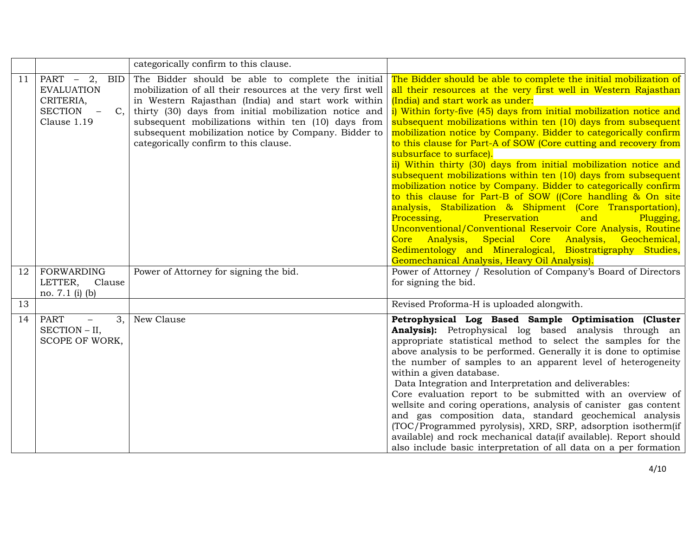|    |                                                                                                                         | categorically confirm to this clause.                                                                                                                                                                                                                                                                                                                                                 |                                                                                                                                                                                                                                                                                                                                                                                                                                                                                                                                                                                                                                                                                                                                                                                                                                                                                                                                                                                                                                                                                                             |
|----|-------------------------------------------------------------------------------------------------------------------------|---------------------------------------------------------------------------------------------------------------------------------------------------------------------------------------------------------------------------------------------------------------------------------------------------------------------------------------------------------------------------------------|-------------------------------------------------------------------------------------------------------------------------------------------------------------------------------------------------------------------------------------------------------------------------------------------------------------------------------------------------------------------------------------------------------------------------------------------------------------------------------------------------------------------------------------------------------------------------------------------------------------------------------------------------------------------------------------------------------------------------------------------------------------------------------------------------------------------------------------------------------------------------------------------------------------------------------------------------------------------------------------------------------------------------------------------------------------------------------------------------------------|
| 11 | PART $-2$ ,<br>BID<br><b>EVALUATION</b><br>CRITERIA,<br><b>SECTION</b><br>C,<br>$\overline{\phantom{m}}$<br>Clause 1.19 | The Bidder should be able to complete the initial<br>mobilization of all their resources at the very first well<br>in Western Rajasthan (India) and start work within<br>thirty (30) days from initial mobilization notice and<br>subsequent mobilizations within ten (10) days from<br>subsequent mobilization notice by Company. Bidder to<br>categorically confirm to this clause. | The Bidder should be able to complete the initial mobilization of<br>all their resources at the very first well in Western Rajasthan<br>(India) and start work as under:<br>i) Within forty-five (45) days from initial mobilization notice and<br>subsequent mobilizations within ten (10) days from subsequent<br>mobilization notice by Company. Bidder to categorically confirm<br>to this clause for Part-A of SOW (Core cutting and recovery from<br>subsurface to surface).<br>ii) Within thirty (30) days from initial mobilization notice and<br>subsequent mobilizations within ten (10) days from subsequent<br>mobilization notice by Company. Bidder to categorically confirm<br>to this clause for Part-B of SOW ((Core handling & On site<br>analysis, Stabilization & Shipment (Core Transportation),<br>Preservation<br>Processing,<br>and<br>Plugging,<br>Unconventional/Conventional Reservoir Core Analysis, Routine<br>Core Analysis, Special Core Analysis, Geochemical,<br>Sedimentology and Mineralogical, Biostratigraphy Studies,<br>Geomechanical Analysis, Heavy Oil Analysis). |
| 12 | <b>FORWARDING</b><br>LETTER,<br>Clause<br>no. $7.1$ (i) (b)                                                             | Power of Attorney for signing the bid.                                                                                                                                                                                                                                                                                                                                                | Power of Attorney / Resolution of Company's Board of Directors<br>for signing the bid.                                                                                                                                                                                                                                                                                                                                                                                                                                                                                                                                                                                                                                                                                                                                                                                                                                                                                                                                                                                                                      |
| 13 |                                                                                                                         |                                                                                                                                                                                                                                                                                                                                                                                       | Revised Proforma-H is uploaded alongwith.                                                                                                                                                                                                                                                                                                                                                                                                                                                                                                                                                                                                                                                                                                                                                                                                                                                                                                                                                                                                                                                                   |
| 14 | PART<br>3,<br>$\overline{\phantom{0}}$<br>SECTION - II,<br>SCOPE OF WORK,                                               | New Clause                                                                                                                                                                                                                                                                                                                                                                            | Petrophysical Log Based Sample Optimisation (Cluster<br>Analysis): Petrophysical log based analysis through an<br>appropriate statistical method to select the samples for the<br>above analysis to be performed. Generally it is done to optimise<br>the number of samples to an apparent level of heterogeneity<br>within a given database.<br>Data Integration and Interpretation and deliverables:<br>Core evaluation report to be submitted with an overview of<br>wellsite and coring operations, analysis of canister gas content<br>and gas composition data, standard geochemical analysis<br>(TOC/Programmed pyrolysis), XRD, SRP, adsorption isotherm(if<br>available) and rock mechanical data(if available). Report should<br>also include basic interpretation of all data on a per formation                                                                                                                                                                                                                                                                                                 |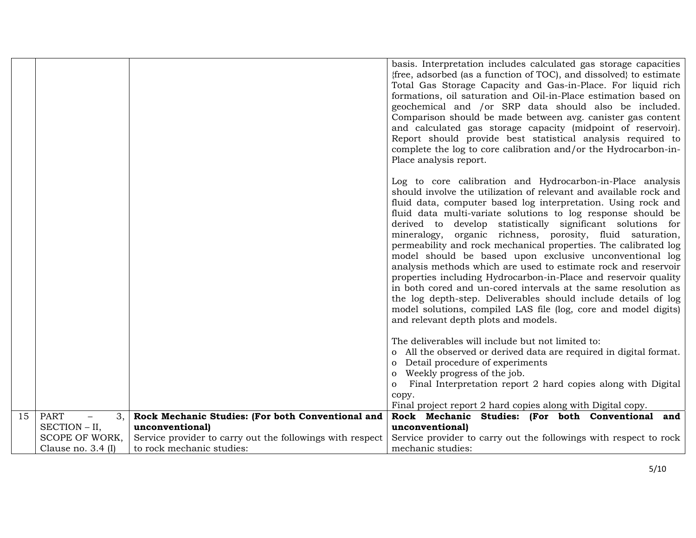|    |                                        |                                                           | basis. Interpretation includes calculated gas storage capacities<br>{free, adsorbed (as a function of TOC), and dissolved} to estimate<br>Total Gas Storage Capacity and Gas-in-Place. For liquid rich<br>formations, oil saturation and Oil-in-Place estimation based on<br>geochemical and /or SRP data should also be included.<br>Comparison should be made between avg. canister gas content<br>and calculated gas storage capacity (midpoint of reservoir).<br>Report should provide best statistical analysis required to<br>complete the log to core calibration and/or the Hydrocarbon-in-<br>Place analysis report.<br>Log to core calibration and Hydrocarbon-in-Place analysis<br>should involve the utilization of relevant and available rock and<br>fluid data, computer based log interpretation. Using rock and<br>fluid data multi-variate solutions to log response should be<br>derived to develop statistically significant solutions for<br>mineralogy, organic richness, porosity, fluid saturation,<br>permeability and rock mechanical properties. The calibrated log |
|----|----------------------------------------|-----------------------------------------------------------|------------------------------------------------------------------------------------------------------------------------------------------------------------------------------------------------------------------------------------------------------------------------------------------------------------------------------------------------------------------------------------------------------------------------------------------------------------------------------------------------------------------------------------------------------------------------------------------------------------------------------------------------------------------------------------------------------------------------------------------------------------------------------------------------------------------------------------------------------------------------------------------------------------------------------------------------------------------------------------------------------------------------------------------------------------------------------------------------|
|    |                                        |                                                           | model should be based upon exclusive unconventional log<br>analysis methods which are used to estimate rock and reservoir<br>properties including Hydrocarbon-in-Place and reservoir quality<br>in both cored and un-cored intervals at the same resolution as<br>the log depth-step. Deliverables should include details of log<br>model solutions, compiled LAS file (log, core and model digits)<br>and relevant depth plots and models.<br>The deliverables will include but not limited to:                                                                                                                                                                                                                                                                                                                                                                                                                                                                                                                                                                                               |
|    |                                        |                                                           | o All the observed or derived data are required in digital format.<br>Detail procedure of experiments<br>$\mathbf{O}$<br>Weekly progress of the job.<br>$\overline{O}$                                                                                                                                                                                                                                                                                                                                                                                                                                                                                                                                                                                                                                                                                                                                                                                                                                                                                                                         |
|    |                                        |                                                           | Final Interpretation report 2 hard copies along with Digital<br>$\mathbf{O}$<br>copy.<br>Final project report 2 hard copies along with Digital copy.                                                                                                                                                                                                                                                                                                                                                                                                                                                                                                                                                                                                                                                                                                                                                                                                                                                                                                                                           |
| 15 | <b>PART</b><br>3,<br>$\qquad \qquad -$ | Rock Mechanic Studies: (For both Conventional and         | Rock Mechanic Studies: (For both Conventional and                                                                                                                                                                                                                                                                                                                                                                                                                                                                                                                                                                                                                                                                                                                                                                                                                                                                                                                                                                                                                                              |
|    | SECTION - II,                          | unconventional)                                           | unconventional)                                                                                                                                                                                                                                                                                                                                                                                                                                                                                                                                                                                                                                                                                                                                                                                                                                                                                                                                                                                                                                                                                |
|    | SCOPE OF WORK,                         | Service provider to carry out the followings with respect | Service provider to carry out the followings with respect to rock                                                                                                                                                                                                                                                                                                                                                                                                                                                                                                                                                                                                                                                                                                                                                                                                                                                                                                                                                                                                                              |
|    | Clause no. $3.4$ (I)                   | to rock mechanic studies:                                 | mechanic studies:                                                                                                                                                                                                                                                                                                                                                                                                                                                                                                                                                                                                                                                                                                                                                                                                                                                                                                                                                                                                                                                                              |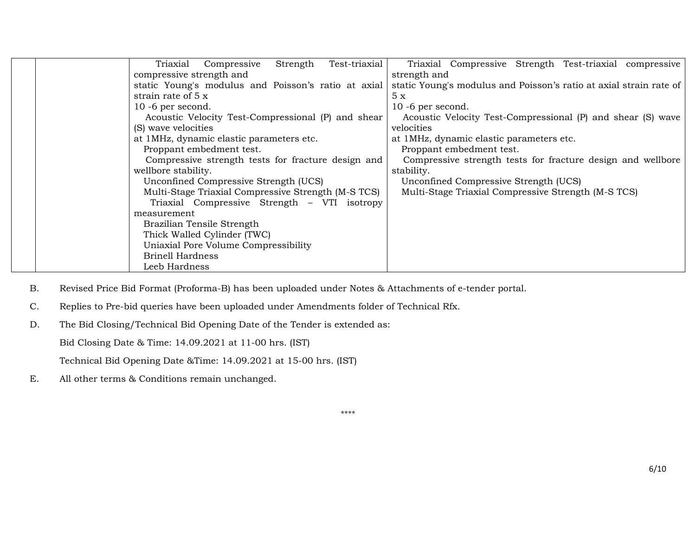|  | Test-triaxial<br>Triaxial<br>Strength<br>Compressive | Triaxial Compressive Strength Test-triaxial compressive            |
|--|------------------------------------------------------|--------------------------------------------------------------------|
|  | compressive strength and                             | strength and                                                       |
|  | static Young's modulus and Poisson's ratio at axial  | static Young's modulus and Poisson's ratio at axial strain rate of |
|  | strain rate of 5 x                                   | 5x                                                                 |
|  | $10 - 6$ per second.                                 | $10 - 6$ per second.                                               |
|  | Acoustic Velocity Test-Compressional (P) and shear   | Acoustic Velocity Test-Compressional (P) and shear (S) wave        |
|  | (S) wave velocities                                  | velocities                                                         |
|  | at 1MHz, dynamic elastic parameters etc.             | at 1MHz, dynamic elastic parameters etc.                           |
|  | Proppant embedment test.                             | Proppant embedment test.                                           |
|  | Compressive strength tests for fracture design and   | Compressive strength tests for fracture design and wellbore        |
|  | wellbore stability.                                  | stability.                                                         |
|  | Unconfined Compressive Strength (UCS)                | Unconfined Compressive Strength (UCS)                              |
|  | Multi-Stage Triaxial Compressive Strength (M-S TCS)  | Multi-Stage Triaxial Compressive Strength (M-S TCS)                |
|  | Triaxial Compressive Strength - VTI isotropy         |                                                                    |
|  | measurement                                          |                                                                    |
|  | Brazilian Tensile Strength                           |                                                                    |
|  | Thick Walled Cylinder (TWC)                          |                                                                    |
|  | Uniaxial Pore Volume Compressibility                 |                                                                    |
|  | <b>Brinell Hardness</b>                              |                                                                    |
|  | Leeb Hardness                                        |                                                                    |

B. Revised Price Bid Format (Proforma-B) has been uploaded under Notes & Attachments of e-tender portal.

- C. Replies to Pre-bid queries have been uploaded under Amendments folder of Technical Rfx.
- D. The Bid Closing/Technical Bid Opening Date of the Tender is extended as:

Bid Closing Date & Time: 14.09.2021 at 11-00 hrs. (IST)

Technical Bid Opening Date &Time: 14.09.2021 at 15-00 hrs. (IST)

E. All other terms & Conditions remain unchanged.

\*\*\*\*